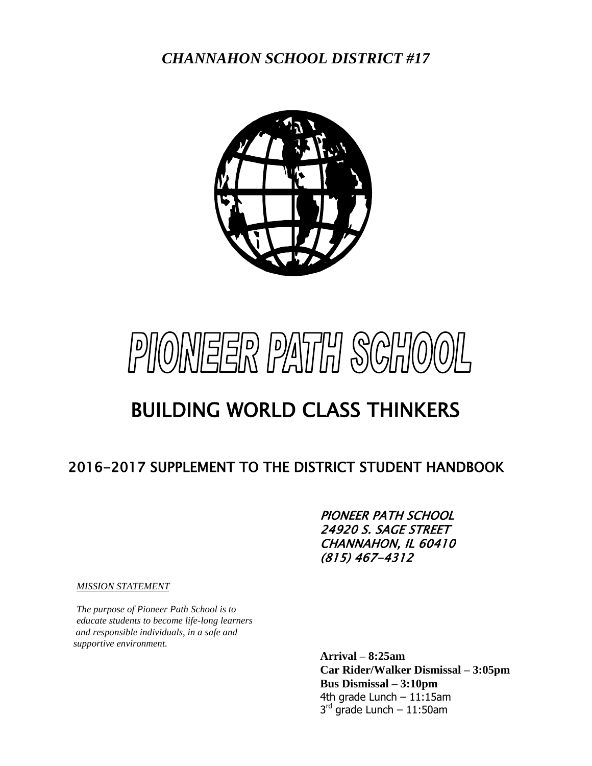*CHANNAHON SCHOOL DISTRICT #17*





# BUILDING WORLD CLASS THINKERS

## 2016-2017 SUPPLEMENT TO THE DISTRICT STUDENT HANDBOOK

PIONEER PATH SCHOOL 24920 S. SAGE STREET CHANNAHON, IL 60410 (815) 467-4312

*MISSION STATEMENT*

*The purpose of Pioneer Path School is to educate students to become life-long learners and responsible individuals, in a safe and supportive environment.*

> **Arrival – 8:25am Car Rider/Walker Dismissal – 3:05pm Bus Dismissal – 3:10pm**  4th grade Lunch – 11:15am 3<sup>rd</sup> grade Lunch – 11:50am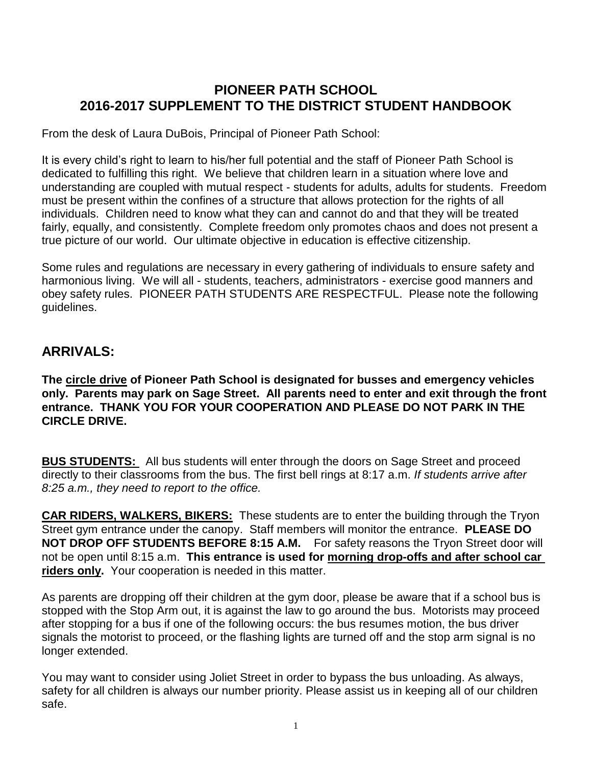#### **PIONEER PATH SCHOOL 2016-2017 SUPPLEMENT TO THE DISTRICT STUDENT HANDBOOK**

From the desk of Laura DuBois, Principal of Pioneer Path School:

It is every child's right to learn to his/her full potential and the staff of Pioneer Path School is dedicated to fulfilling this right. We believe that children learn in a situation where love and understanding are coupled with mutual respect - students for adults, adults for students. Freedom must be present within the confines of a structure that allows protection for the rights of all individuals. Children need to know what they can and cannot do and that they will be treated fairly, equally, and consistently. Complete freedom only promotes chaos and does not present a true picture of our world. Our ultimate objective in education is effective citizenship.

Some rules and regulations are necessary in every gathering of individuals to ensure safety and harmonious living. We will all - students, teachers, administrators - exercise good manners and obey safety rules. PIONEER PATH STUDENTS ARE RESPECTFUL. Please note the following guidelines.

#### **ARRIVALS:**

**The circle drive of Pioneer Path School is designated for busses and emergency vehicles only. Parents may park on Sage Street. All parents need to enter and exit through the front entrance. THANK YOU FOR YOUR COOPERATION AND PLEASE DO NOT PARK IN THE CIRCLE DRIVE.**

**BUS STUDENTS:** All bus students will enter through the doors on Sage Street and proceed directly to their classrooms from the bus. The first bell rings at 8:17 a.m. *If students arrive after 8:25 a.m., they need to report to the office.*

**CAR RIDERS, WALKERS, BIKERS:** These students are to enter the building through the Tryon Street gym entrance under the canopy. Staff members will monitor the entrance. **PLEASE DO NOT DROP OFF STUDENTS BEFORE 8:15 A.M.** For safety reasons the Tryon Street door will not be open until 8:15 a.m. **This entrance is used for morning drop-offs and after school car riders only.** Your cooperation is needed in this matter.

As parents are dropping off their children at the gym door, please be aware that if a school bus is stopped with the Stop Arm out, it is against the law to go around the bus. Motorists may proceed after stopping for a bus if one of the following occurs: the bus resumes motion, the bus driver signals the motorist to proceed, or the flashing lights are turned off and the stop arm signal is no longer extended.

You may want to consider using Joliet Street in order to bypass the bus unloading. As always, safety for all children is always our number priority. Please assist us in keeping all of our children safe.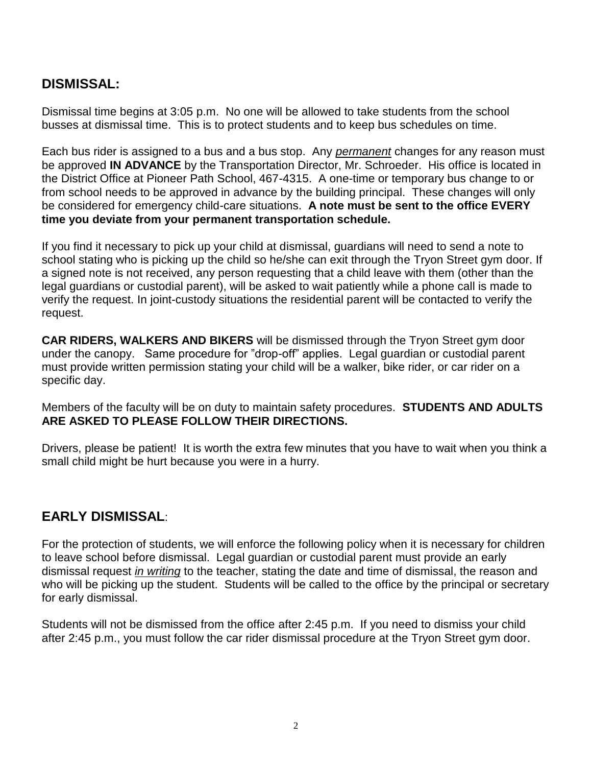## **DISMISSAL:**

Dismissal time begins at 3:05 p.m. No one will be allowed to take students from the school busses at dismissal time. This is to protect students and to keep bus schedules on time.

Each bus rider is assigned to a bus and a bus stop. Any *permanent* changes for any reason must be approved **IN ADVANCE** by the Transportation Director, Mr. Schroeder. His office is located in the District Office at Pioneer Path School, 467-4315. A one-time or temporary bus change to or from school needs to be approved in advance by the building principal. These changes will only be considered for emergency child-care situations. **A note must be sent to the office EVERY time you deviate from your permanent transportation schedule.**

If you find it necessary to pick up your child at dismissal, guardians will need to send a note to school stating who is picking up the child so he/she can exit through the Tryon Street gym door. If a signed note is not received, any person requesting that a child leave with them (other than the legal guardians or custodial parent), will be asked to wait patiently while a phone call is made to verify the request. In joint-custody situations the residential parent will be contacted to verify the request.

**CAR RIDERS, WALKERS AND BIKERS** will be dismissed through the Tryon Street gym door under the canopy. Same procedure for "drop-off" applies. Legal guardian or custodial parent must provide written permission stating your child will be a walker, bike rider, or car rider on a specific day.

Members of the faculty will be on duty to maintain safety procedures. **STUDENTS AND ADULTS ARE ASKED TO PLEASE FOLLOW THEIR DIRECTIONS.**

Drivers, please be patient! It is worth the extra few minutes that you have to wait when you think a small child might be hurt because you were in a hurry.

## **EARLY DISMISSAL**:

For the protection of students, we will enforce the following policy when it is necessary for children to leave school before dismissal. Legal guardian or custodial parent must provide an early dismissal request *in writing* to the teacher, stating the date and time of dismissal, the reason and who will be picking up the student. Students will be called to the office by the principal or secretary for early dismissal.

Students will not be dismissed from the office after 2:45 p.m. If you need to dismiss your child after 2:45 p.m., you must follow the car rider dismissal procedure at the Tryon Street gym door.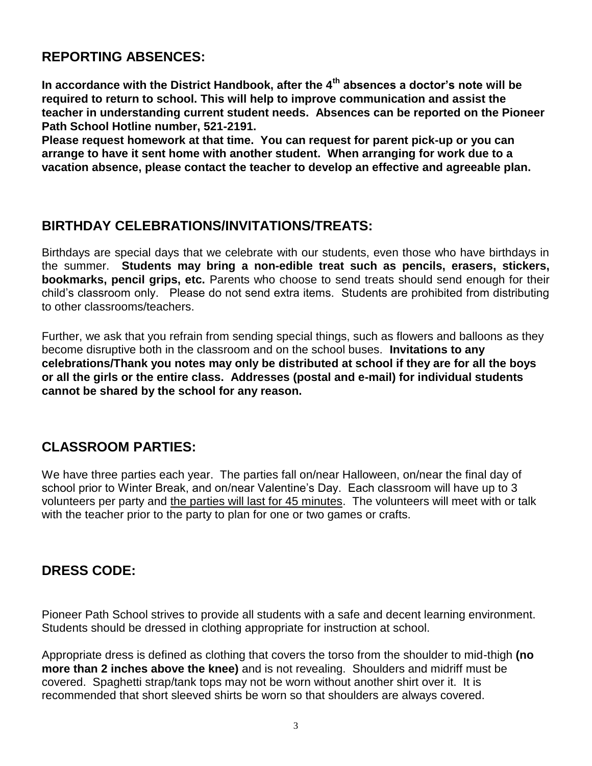#### **REPORTING ABSENCES:**

**In accordance with the District Handbook, after the 4th absences a doctor's note will be required to return to school. This will help to improve communication and assist the teacher in understanding current student needs. Absences can be reported on the Pioneer Path School Hotline number, 521-2191.**

**Please request homework at that time. You can request for parent pick-up or you can arrange to have it sent home with another student. When arranging for work due to a vacation absence, please contact the teacher to develop an effective and agreeable plan.**

#### **BIRTHDAY CELEBRATIONS/INVITATIONS/TREATS:**

Birthdays are special days that we celebrate with our students, even those who have birthdays in the summer. **Students may bring a non-edible treat such as pencils, erasers, stickers, bookmarks, pencil grips, etc.** Parents who choose to send treats should send enough for their child's classroom only. Please do not send extra items. Students are prohibited from distributing to other classrooms/teachers.

Further, we ask that you refrain from sending special things, such as flowers and balloons as they become disruptive both in the classroom and on the school buses. **Invitations to any celebrations/Thank you notes may only be distributed at school if they are for all the boys or all the girls or the entire class. Addresses (postal and e-mail) for individual students cannot be shared by the school for any reason.**

## **CLASSROOM PARTIES:**

We have three parties each year. The parties fall on/near Halloween, on/near the final day of school prior to Winter Break, and on/near Valentine's Day. Each classroom will have up to 3 volunteers per party and the parties will last for 45 minutes. The volunteers will meet with or talk with the teacher prior to the party to plan for one or two games or crafts.

## **DRESS CODE:**

Pioneer Path School strives to provide all students with a safe and decent learning environment. Students should be dressed in clothing appropriate for instruction at school.

Appropriate dress is defined as clothing that covers the torso from the shoulder to mid-thigh **(no more than 2 inches above the knee)** and is not revealing. Shoulders and midriff must be covered. Spaghetti strap/tank tops may not be worn without another shirt over it. It is recommended that short sleeved shirts be worn so that shoulders are always covered.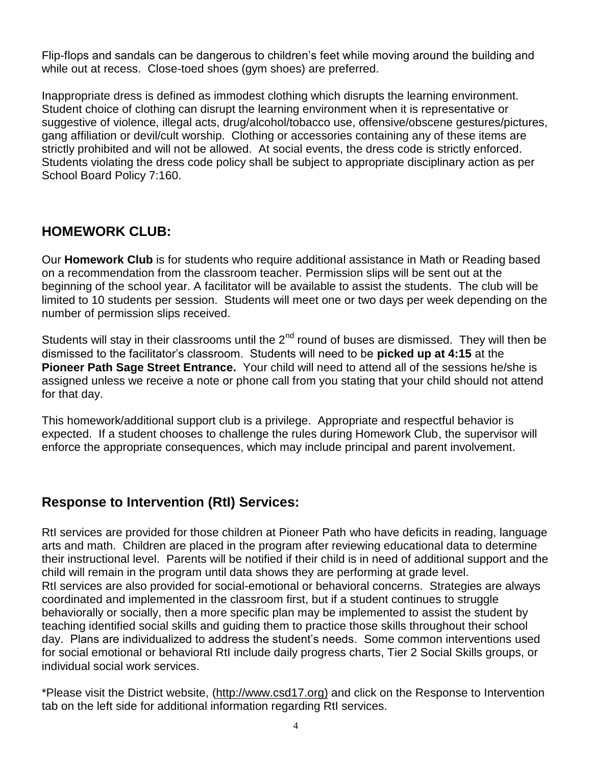Flip-flops and sandals can be dangerous to children's feet while moving around the building and while out at recess. Close-toed shoes (gym shoes) are preferred.

Inappropriate dress is defined as immodest clothing which disrupts the learning environment. Student choice of clothing can disrupt the learning environment when it is representative or suggestive of violence, illegal acts, drug/alcohol/tobacco use, offensive/obscene gestures/pictures, gang affiliation or devil/cult worship. Clothing or accessories containing any of these items are strictly prohibited and will not be allowed. At social events, the dress code is strictly enforced. Students violating the dress code policy shall be subject to appropriate disciplinary action as per School Board Policy 7:160.

## **HOMEWORK CLUB:**

Our **Homework Club** is for students who require additional assistance in Math or Reading based on a recommendation from the classroom teacher. Permission slips will be sent out at the beginning of the school year. A facilitator will be available to assist the students. The club will be limited to 10 students per session. Students will meet one or two days per week depending on the number of permission slips received.

Students will stay in their classrooms until the  $2<sup>nd</sup>$  round of buses are dismissed. They will then be dismissed to the facilitator's classroom. Students will need to be **picked up at 4:15** at the **Pioneer Path Sage Street Entrance.** Your child will need to attend all of the sessions he/she is assigned unless we receive a note or phone call from you stating that your child should not attend for that day.

This homework/additional support club is a privilege. Appropriate and respectful behavior is expected. If a student chooses to challenge the rules during Homework Club, the supervisor will enforce the appropriate consequences, which may include principal and parent involvement.

#### **Response to Intervention (RtI) Services:**

RtI services are provided for those children at Pioneer Path who have deficits in reading, language arts and math. Children are placed in the program after reviewing educational data to determine their instructional level. Parents will be notified if their child is in need of additional support and the child will remain in the program until data shows they are performing at grade level. RtI services are also provided for social-emotional or behavioral concerns. Strategies are always coordinated and implemented in the classroom first, but if a student continues to struggle behaviorally or socially, then a more specific plan may be implemented to assist the student by teaching identified social skills and guiding them to practice those skills throughout their school day. Plans are individualized to address the student's needs. Some common interventions used for social emotional or behavioral RtI include daily progress charts, Tier 2 Social Skills groups, or individual social work services.

\*Please visit the District website, (http://www.csd17.org) and click on the Response to Intervention tab on the left side for additional information regarding RtI services.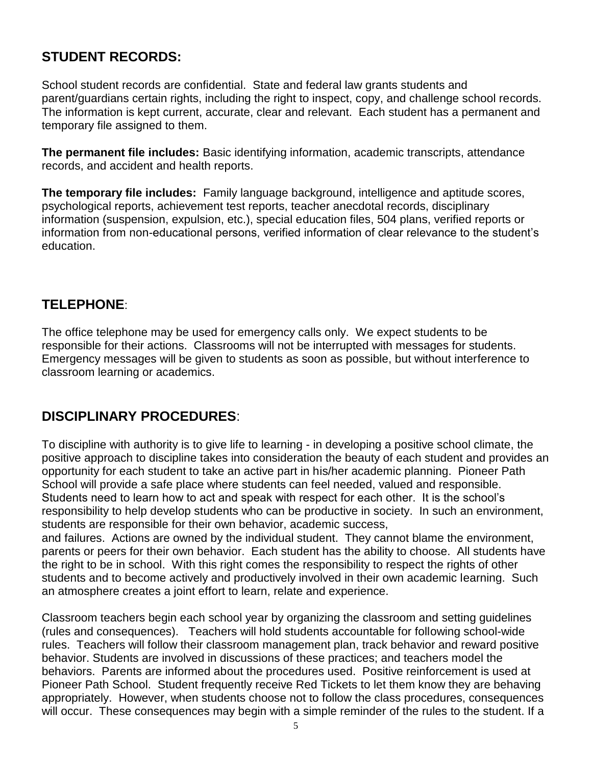## **STUDENT RECORDS:**

School student records are confidential. State and federal law grants students and parent/guardians certain rights, including the right to inspect, copy, and challenge school records. The information is kept current, accurate, clear and relevant. Each student has a permanent and temporary file assigned to them.

**The permanent file includes:** Basic identifying information, academic transcripts, attendance records, and accident and health reports.

**The temporary file includes:** Family language background, intelligence and aptitude scores, psychological reports, achievement test reports, teacher anecdotal records, disciplinary information (suspension, expulsion, etc.), special education files, 504 plans, verified reports or information from non-educational persons, verified information of clear relevance to the student's education.

#### **TELEPHONE**:

The office telephone may be used for emergency calls only. We expect students to be responsible for their actions. Classrooms will not be interrupted with messages for students. Emergency messages will be given to students as soon as possible, but without interference to classroom learning or academics.

## **DISCIPLINARY PROCEDURES**:

To discipline with authority is to give life to learning - in developing a positive school climate, the positive approach to discipline takes into consideration the beauty of each student and provides an opportunity for each student to take an active part in his/her academic planning. Pioneer Path School will provide a safe place where students can feel needed, valued and responsible. Students need to learn how to act and speak with respect for each other. It is the school's responsibility to help develop students who can be productive in society. In such an environment, students are responsible for their own behavior, academic success,

and failures. Actions are owned by the individual student. They cannot blame the environment, parents or peers for their own behavior. Each student has the ability to choose. All students have the right to be in school. With this right comes the responsibility to respect the rights of other students and to become actively and productively involved in their own academic learning. Such an atmosphere creates a joint effort to learn, relate and experience.

Classroom teachers begin each school year by organizing the classroom and setting guidelines (rules and consequences). Teachers will hold students accountable for following school-wide rules. Teachers will follow their classroom management plan, track behavior and reward positive behavior. Students are involved in discussions of these practices; and teachers model the behaviors. Parents are informed about the procedures used. Positive reinforcement is used at Pioneer Path School. Student frequently receive Red Tickets to let them know they are behaving appropriately. However, when students choose not to follow the class procedures, consequences will occur. These consequences may begin with a simple reminder of the rules to the student. If a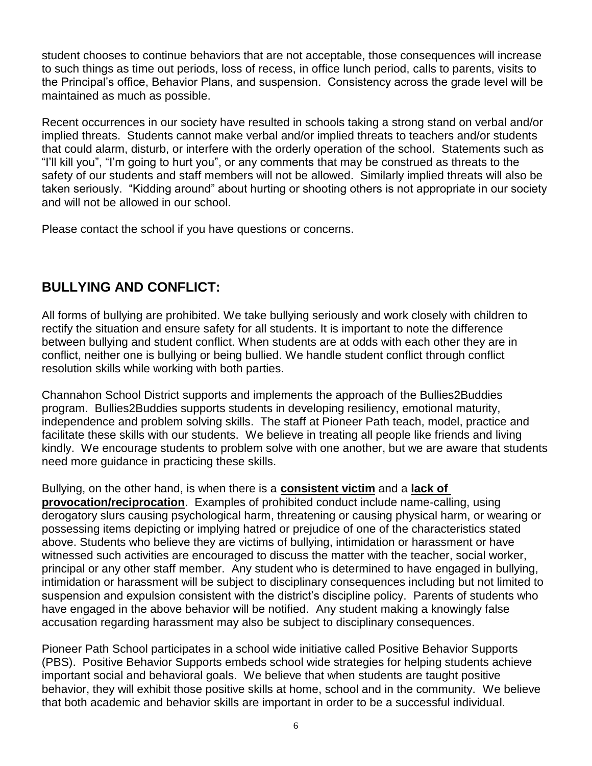student chooses to continue behaviors that are not acceptable, those consequences will increase to such things as time out periods, loss of recess, in office lunch period, calls to parents, visits to the Principal's office, Behavior Plans, and suspension. Consistency across the grade level will be maintained as much as possible.

Recent occurrences in our society have resulted in schools taking a strong stand on verbal and/or implied threats. Students cannot make verbal and/or implied threats to teachers and/or students that could alarm, disturb, or interfere with the orderly operation of the school. Statements such as "I'll kill you", "I'm going to hurt you", or any comments that may be construed as threats to the safety of our students and staff members will not be allowed. Similarly implied threats will also be taken seriously. "Kidding around" about hurting or shooting others is not appropriate in our society and will not be allowed in our school.

Please contact the school if you have questions or concerns.

## **BULLYING AND CONFLICT:**

All forms of bullying are prohibited. We take bullying seriously and work closely with children to rectify the situation and ensure safety for all students. It is important to note the difference between bullying and student conflict. When students are at odds with each other they are in conflict, neither one is bullying or being bullied. We handle student conflict through conflict resolution skills while working with both parties.

Channahon School District supports and implements the approach of the Bullies2Buddies program. Bullies2Buddies supports students in developing resiliency, emotional maturity, independence and problem solving skills. The staff at Pioneer Path teach, model, practice and facilitate these skills with our students. We believe in treating all people like friends and living kindly. We encourage students to problem solve with one another, but we are aware that students need more guidance in practicing these skills.

#### Bullying, on the other hand, is when there is a **consistent victim** and a **lack of**

**provocation/reciprocation**. Examples of prohibited conduct include name-calling, using derogatory slurs causing psychological harm, threatening or causing physical harm, or wearing or possessing items depicting or implying hatred or prejudice of one of the characteristics stated above. Students who believe they are victims of bullying, intimidation or harassment or have witnessed such activities are encouraged to discuss the matter with the teacher, social worker, principal or any other staff member. Any student who is determined to have engaged in bullying, intimidation or harassment will be subject to disciplinary consequences including but not limited to suspension and expulsion consistent with the district's discipline policy. Parents of students who have engaged in the above behavior will be notified. Any student making a knowingly false accusation regarding harassment may also be subject to disciplinary consequences.

Pioneer Path School participates in a school wide initiative called Positive Behavior Supports (PBS). Positive Behavior Supports embeds school wide strategies for helping students achieve important social and behavioral goals. We believe that when students are taught positive behavior, they will exhibit those positive skills at home, school and in the community. We believe that both academic and behavior skills are important in order to be a successful individual.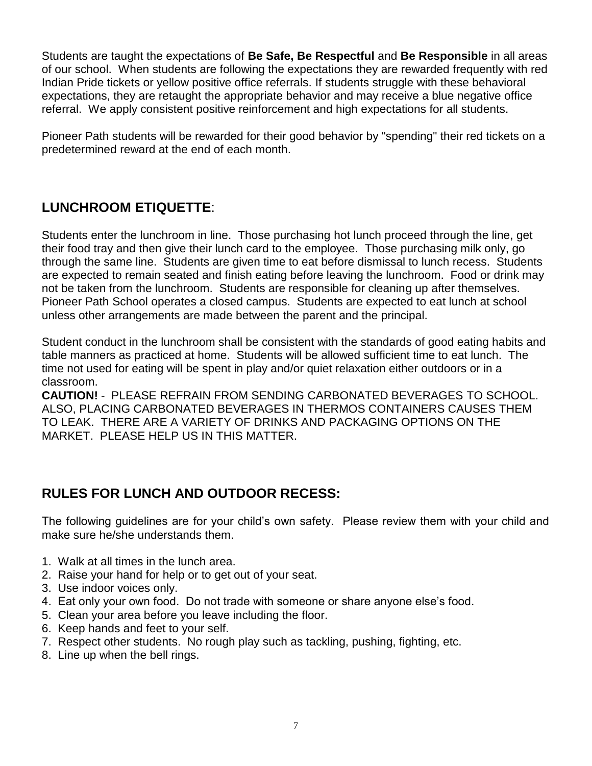Students are taught the expectations of **Be Safe, Be Respectful** and **Be Responsible** in all areas of our school. When students are following the expectations they are rewarded frequently with red Indian Pride tickets or yellow positive office referrals. If students struggle with these behavioral expectations, they are retaught the appropriate behavior and may receive a blue negative office referral. We apply consistent positive reinforcement and high expectations for all students.

Pioneer Path students will be rewarded for their good behavior by "spending" their red tickets on a predetermined reward at the end of each month.

#### **LUNCHROOM ETIQUETTE**:

Students enter the lunchroom in line. Those purchasing hot lunch proceed through the line, get their food tray and then give their lunch card to the employee. Those purchasing milk only, go through the same line. Students are given time to eat before dismissal to lunch recess. Students are expected to remain seated and finish eating before leaving the lunchroom. Food or drink may not be taken from the lunchroom. Students are responsible for cleaning up after themselves. Pioneer Path School operates a closed campus. Students are expected to eat lunch at school unless other arrangements are made between the parent and the principal.

Student conduct in the lunchroom shall be consistent with the standards of good eating habits and table manners as practiced at home. Students will be allowed sufficient time to eat lunch. The time not used for eating will be spent in play and/or quiet relaxation either outdoors or in a classroom.

**CAUTION!** - PLEASE REFRAIN FROM SENDING CARBONATED BEVERAGES TO SCHOOL. ALSO, PLACING CARBONATED BEVERAGES IN THERMOS CONTAINERS CAUSES THEM TO LEAK. THERE ARE A VARIETY OF DRINKS AND PACKAGING OPTIONS ON THE MARKET. PLEASE HELP US IN THIS MATTER.

## **RULES FOR LUNCH AND OUTDOOR RECESS:**

The following guidelines are for your child's own safety. Please review them with your child and make sure he/she understands them.

- 1. Walk at all times in the lunch area.
- 2. Raise your hand for help or to get out of your seat.
- 3. Use indoor voices only.
- 4. Eat only your own food. Do not trade with someone or share anyone else's food.
- 5. Clean your area before you leave including the floor.
- 6. Keep hands and feet to your self.
- 7. Respect other students. No rough play such as tackling, pushing, fighting, etc.
- 8. Line up when the bell rings.